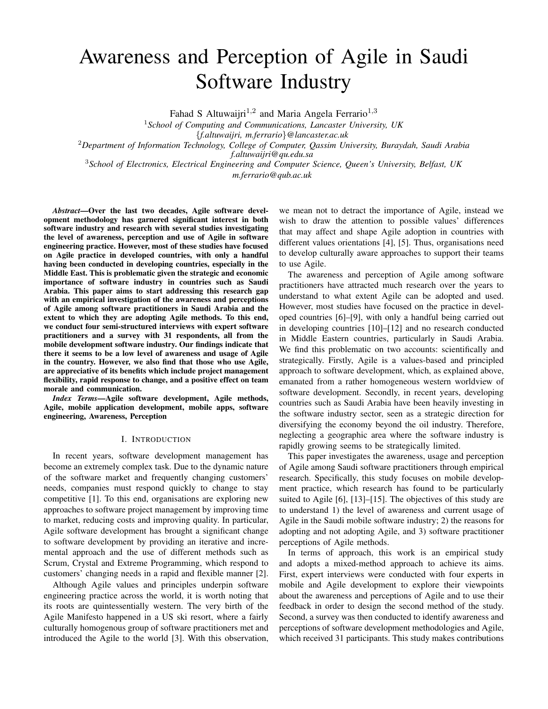# Awareness and Perception of Agile in Saudi Software Industry

Fahad S Altuwaijri<sup>1,2</sup> and Maria Angela Ferrario<sup>1,3</sup>

<sup>1</sup>*School of Computing and Communications, Lancaster University, UK* {*f.altuwaijri, m.ferrario*}*@lancaster.ac.uk* <sup>2</sup>*Department of Information Technology, College of Computer, Qassim University, Buraydah, Saudi Arabia f.altuwaijri@qu.edu.sa*

<sup>3</sup>*School of Electronics, Electrical Engineering and Computer Science, Queen's University, Belfast, UK m.ferrario@qub.ac.uk*

*Abstract*—Over the last two decades, Agile software development methodology has garnered significant interest in both software industry and research with several studies investigating the level of awareness, perception and use of Agile in software engineering practice. However, most of these studies have focused on Agile practice in developed countries, with only a handful having been conducted in developing countries, especially in the Middle East. This is problematic given the strategic and economic importance of software industry in countries such as Saudi Arabia. This paper aims to start addressing this research gap with an empirical investigation of the awareness and perceptions of Agile among software practitioners in Saudi Arabia and the extent to which they are adopting Agile methods. To this end, we conduct four semi-structured interviews with expert software practitioners and a survey with 31 respondents, all from the mobile development software industry. Our findings indicate that there it seems to be a low level of awareness and usage of Agile in the country. However, we also find that those who use Agile, are appreciative of its benefits which include project management flexibility, rapid response to change, and a positive effect on team morale and communication.

*Index Terms*—Agile software development, Agile methods, Agile, mobile application development, mobile apps, software engineering, Awareness, Perception

#### I. INTRODUCTION

In recent years, software development management has become an extremely complex task. Due to the dynamic nature of the software market and frequently changing customers' needs, companies must respond quickly to change to stay competitive [1]. To this end, organisations are exploring new approaches to software project management by improving time to market, reducing costs and improving quality. In particular, Agile software development has brought a significant change to software development by providing an iterative and incremental approach and the use of different methods such as Scrum, Crystal and Extreme Programming, which respond to customers' changing needs in a rapid and flexible manner [2].

Although Agile values and principles underpin software engineering practice across the world, it is worth noting that its roots are quintessentially western. The very birth of the Agile Manifesto happened in a US ski resort, where a fairly culturally homogenous group of software practitioners met and introduced the Agile to the world [3]. With this observation,

we mean not to detract the importance of Agile, instead we wish to draw the attention to possible values' differences that may affect and shape Agile adoption in countries with different values orientations [4], [5]. Thus, organisations need to develop culturally aware approaches to support their teams to use Agile.

The awareness and perception of Agile among software practitioners have attracted much research over the years to understand to what extent Agile can be adopted and used. However, most studies have focused on the practice in developed countries [6]–[9], with only a handful being carried out in developing countries [10]–[12] and no research conducted in Middle Eastern countries, particularly in Saudi Arabia. We find this problematic on two accounts: scientifically and strategically. Firstly, Agile is a values-based and principled approach to software development, which, as explained above, emanated from a rather homogeneous western worldview of software development. Secondly, in recent years, developing countries such as Saudi Arabia have been heavily investing in the software industry sector, seen as a strategic direction for diversifying the economy beyond the oil industry. Therefore, neglecting a geographic area where the software industry is rapidly growing seems to be strategically limited.

This paper investigates the awareness, usage and perception of Agile among Saudi software practitioners through empirical research. Specifically, this study focuses on mobile development practice, which research has found to be particularly suited to Agile [6], [13]–[15]. The objectives of this study are to understand 1) the level of awareness and current usage of Agile in the Saudi mobile software industry; 2) the reasons for adopting and not adopting Agile, and 3) software practitioner perceptions of Agile methods.

In terms of approach, this work is an empirical study and adopts a mixed-method approach to achieve its aims. First, expert interviews were conducted with four experts in mobile and Agile development to explore their viewpoints about the awareness and perceptions of Agile and to use their feedback in order to design the second method of the study. Second, a survey was then conducted to identify awareness and perceptions of software development methodologies and Agile, which received 31 participants. This study makes contributions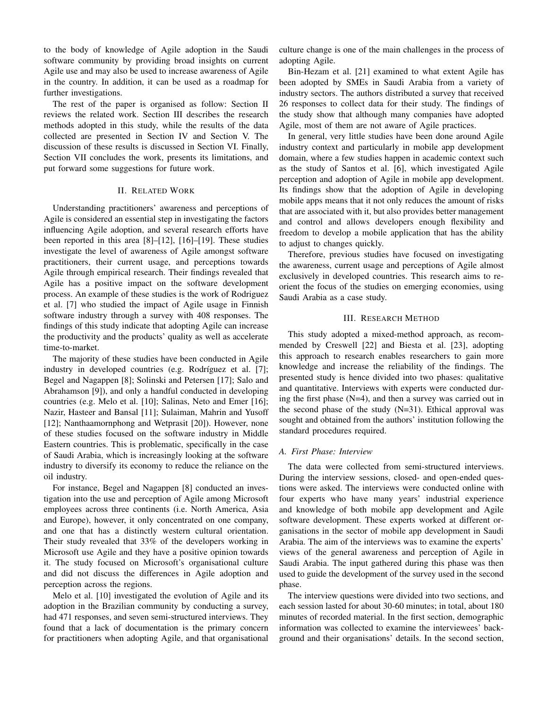to the body of knowledge of Agile adoption in the Saudi software community by providing broad insights on current Agile use and may also be used to increase awareness of Agile in the country. In addition, it can be used as a roadmap for further investigations.

The rest of the paper is organised as follow: Section II reviews the related work. Section III describes the research methods adopted in this study, while the results of the data collected are presented in Section IV and Section V. The discussion of these results is discussed in Section VI. Finally, Section VII concludes the work, presents its limitations, and put forward some suggestions for future work.

## II. RELATED WORK

Understanding practitioners' awareness and perceptions of Agile is considered an essential step in investigating the factors influencing Agile adoption, and several research efforts have been reported in this area [8]–[12], [16]–[19]. These studies investigate the level of awareness of Agile amongst software practitioners, their current usage, and perceptions towards Agile through empirical research. Their findings revealed that Agile has a positive impact on the software development process. An example of these studies is the work of Rodriguez et al. [7] who studied the impact of Agile usage in Finnish software industry through a survey with 408 responses. The findings of this study indicate that adopting Agile can increase the productivity and the products' quality as well as accelerate time-to-market.

The majority of these studies have been conducted in Agile industry in developed countries (e.g. Rodríguez et al. [7]; Begel and Nagappen [8]; Solinski and Petersen [17]; Salo and Abrahamson [9]), and only a handful conducted in developing countries (e.g. Melo et al. [10]; Salinas, Neto and Emer [16]; Nazir, Hasteer and Bansal [11]; Sulaiman, Mahrin and Yusoff [12]; Nanthaamornphong and Wetprasit [20]). However, none of these studies focused on the software industry in Middle Eastern countries. This is problematic, specifically in the case of Saudi Arabia, which is increasingly looking at the software industry to diversify its economy to reduce the reliance on the oil industry.

For instance, Begel and Nagappen [8] conducted an investigation into the use and perception of Agile among Microsoft employees across three continents (i.e. North America, Asia and Europe), however, it only concentrated on one company, and one that has a distinctly western cultural orientation. Their study revealed that 33% of the developers working in Microsoft use Agile and they have a positive opinion towards it. The study focused on Microsoft's organisational culture and did not discuss the differences in Agile adoption and perception across the regions.

Melo et al. [10] investigated the evolution of Agile and its adoption in the Brazilian community by conducting a survey, had 471 responses, and seven semi-structured interviews. They found that a lack of documentation is the primary concern for practitioners when adopting Agile, and that organisational culture change is one of the main challenges in the process of adopting Agile.

Bin-Hezam et al. [21] examined to what extent Agile has been adopted by SMEs in Saudi Arabia from a variety of industry sectors. The authors distributed a survey that received 26 responses to collect data for their study. The findings of the study show that although many companies have adopted Agile, most of them are not aware of Agile practices.

In general, very little studies have been done around Agile industry context and particularly in mobile app development domain, where a few studies happen in academic context such as the study of Santos et al. [6], which investigated Agile perception and adoption of Agile in mobile app development. Its findings show that the adoption of Agile in developing mobile apps means that it not only reduces the amount of risks that are associated with it, but also provides better management and control and allows developers enough flexibility and freedom to develop a mobile application that has the ability to adjust to changes quickly.

Therefore, previous studies have focused on investigating the awareness, current usage and perceptions of Agile almost exclusively in developed countries. This research aims to reorient the focus of the studies on emerging economies, using Saudi Arabia as a case study.

## III. RESEARCH METHOD

This study adopted a mixed-method approach, as recommended by Creswell [22] and Biesta et al. [23], adopting this approach to research enables researchers to gain more knowledge and increase the reliability of the findings. The presented study is hence divided into two phases: qualitative and quantitative. Interviews with experts were conducted during the first phase (N=4), and then a survey was carried out in the second phase of the study  $(N=31)$ . Ethical approval was sought and obtained from the authors' institution following the standard procedures required.

# *A. First Phase: Interview*

The data were collected from semi-structured interviews. During the interview sessions, closed- and open-ended questions were asked. The interviews were conducted online with four experts who have many years' industrial experience and knowledge of both mobile app development and Agile software development. These experts worked at different organisations in the sector of mobile app development in Saudi Arabia. The aim of the interviews was to examine the experts' views of the general awareness and perception of Agile in Saudi Arabia. The input gathered during this phase was then used to guide the development of the survey used in the second phase.

The interview questions were divided into two sections, and each session lasted for about 30-60 minutes; in total, about 180 minutes of recorded material. In the first section, demographic information was collected to examine the interviewees' background and their organisations' details. In the second section,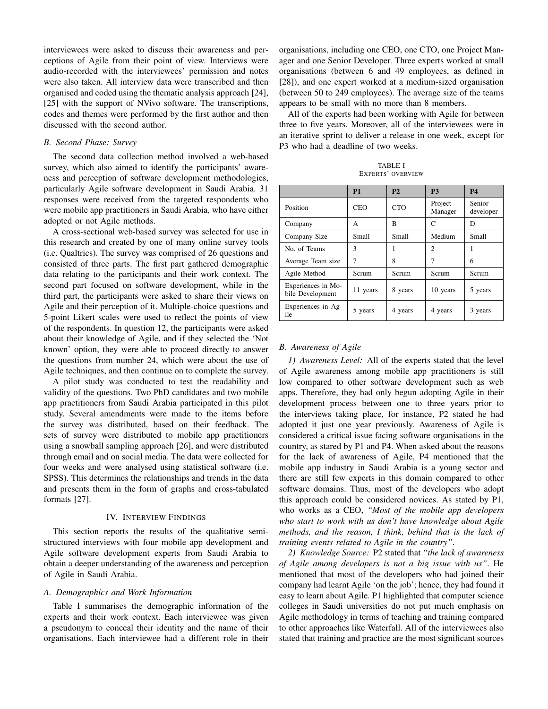interviewees were asked to discuss their awareness and perceptions of Agile from their point of view. Interviews were audio-recorded with the interviewees' permission and notes were also taken. All interview data were transcribed and then organised and coded using the thematic analysis approach [24], [25] with the support of NVivo software. The transcriptions, codes and themes were performed by the first author and then discussed with the second author.

# *B. Second Phase: Survey*

The second data collection method involved a web-based survey, which also aimed to identify the participants' awareness and perception of software development methodologies, particularly Agile software development in Saudi Arabia. 31 responses were received from the targeted respondents who were mobile app practitioners in Saudi Arabia, who have either adopted or not Agile methods.

A cross-sectional web-based survey was selected for use in this research and created by one of many online survey tools (i.e. Qualtrics). The survey was comprised of 26 questions and consisted of three parts. The first part gathered demographic data relating to the participants and their work context. The second part focused on software development, while in the third part, the participants were asked to share their views on Agile and their perception of it. Multiple-choice questions and 5-point Likert scales were used to reflect the points of view of the respondents. In question 12, the participants were asked about their knowledge of Agile, and if they selected the 'Not known' option, they were able to proceed directly to answer the questions from number 24, which were about the use of Agile techniques, and then continue on to complete the survey.

A pilot study was conducted to test the readability and validity of the questions. Two PhD candidates and two mobile app practitioners from Saudi Arabia participated in this pilot study. Several amendments were made to the items before the survey was distributed, based on their feedback. The sets of survey were distributed to mobile app practitioners using a snowball sampling approach [26], and were distributed through email and on social media. The data were collected for four weeks and were analysed using statistical software (i.e. SPSS). This determines the relationships and trends in the data and presents them in the form of graphs and cross-tabulated formats [27].

## IV. INTERVIEW FINDINGS

This section reports the results of the qualitative semistructured interviews with four mobile app development and Agile software development experts from Saudi Arabia to obtain a deeper understanding of the awareness and perception of Agile in Saudi Arabia.

#### *A. Demographics and Work Information*

Table I summarises the demographic information of the experts and their work context. Each interviewee was given a pseudonym to conceal their identity and the name of their organisations. Each interviewee had a different role in their organisations, including one CEO, one CTO, one Project Manager and one Senior Developer. Three experts worked at small organisations (between 6 and 49 employees, as defined in [28]), and one expert worked at a medium-sized organisation (between 50 to 249 employees). The average size of the teams appears to be small with no more than 8 members.

All of the experts had been working with Agile for between three to five years. Moreover, all of the interviewees were in an iterative sprint to deliver a release in one week, except for P3 who had a deadline of two weeks.

TABLE I EXPERTS' OVERVIEW

|                                        | <b>P1</b>  | P <sub>2</sub> | <b>P3</b>          | <b>P4</b>           |
|----------------------------------------|------------|----------------|--------------------|---------------------|
| Position                               | <b>CEO</b> | <b>CTO</b>     | Project<br>Manager | Senior<br>developer |
| Company                                | A          | R              | C                  | D                   |
| Company Size                           | Small      | Small          | Medium             | Small               |
| No. of Teams                           | 3          | 1              | $\mathfrak{D}$     |                     |
| Average Team size                      | 7          | 8              | 7                  | 6                   |
| Agile Method                           | Serum      | Scrum          | Scrum              | Scrum               |
| Experiences in Mo-<br>bile Development | 11 years   | 8 years        | 10 years           | 5 years             |
| Experiences in Ag-<br>ile              | 5 years    | 4 years        | 4 years            | 3 years             |

#### *B. Awareness of Agile*

*1) Awareness Level:* All of the experts stated that the level of Agile awareness among mobile app practitioners is still low compared to other software development such as web apps. Therefore, they had only begun adopting Agile in their development process between one to three years prior to the interviews taking place, for instance, P2 stated he had adopted it just one year previously. Awareness of Agile is considered a critical issue facing software organisations in the country, as stared by P1 and P4. When asked about the reasons for the lack of awareness of Agile, P4 mentioned that the mobile app industry in Saudi Arabia is a young sector and there are still few experts in this domain compared to other software domains. Thus, most of the developers who adopt this approach could be considered novices. As stated by P1, who works as a CEO, *"Most of the mobile app developers who start to work with us don't have knowledge about Agile methods, and the reason, I think, behind that is the lack of training events related to Agile in the country"*.

*2) Knowledge Source:* P2 stated that *"the lack of awareness of Agile among developers is not a big issue with us"*. He mentioned that most of the developers who had joined their company had learnt Agile 'on the job'; hence, they had found it easy to learn about Agile. P1 highlighted that computer science colleges in Saudi universities do not put much emphasis on Agile methodology in terms of teaching and training compared to other approaches like Waterfall. All of the interviewees also stated that training and practice are the most significant sources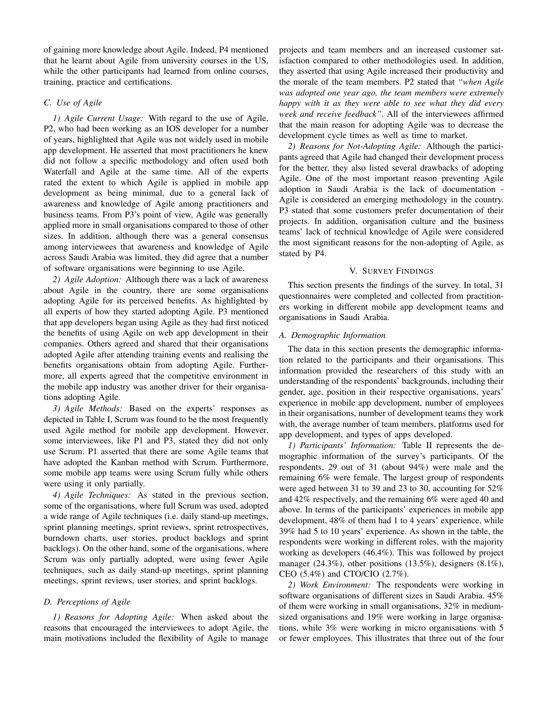of gaining more knowledge about Agile. Indeed, P4 mentioned that he learnt about Agile from university courses in the US, while the other participants had learned from online courses, training, practice and certifications.

# *C. Use of Agile*

*1) Agile Current Usage:* With regard to the use of Agile, P2, who had been working as an IOS developer for a number of years, highlighted that Agile was not widely used in mobile app development. He asserted that most practitioners he knew did not follow a specific methodology and often used both Waterfall and Agile at the same time. All of the experts rated the extent to which Agile is applied in mobile app development as being minimal, due to a general lack of awareness and knowledge of Agile among practitioners and business teams. From P3's point of view, Agile was generally applied more in small organisations compared to those of other sizes. In addition, although there was a general consensus among interviewees that awareness and knowledge of Agile across Saudi Arabia was limited, they did agree that a number of software organisations were beginning to use Agile.

*2) Agile Adoption:* Although there was a lack of awareness about Agile in the country, there are some organisations adopting Agile for its perceived benefits. As highlighted by all experts of how they started adopting Agile. P3 mentioned that app developers began using Agile as they had first noticed the benefits of using Agile on web app development in their companies. Others agreed and shared that their organisations adopted Agile after attending training events and realising the benefits organisations obtain from adopting Agile. Furthermore, all experts agreed that the competitive environment in the mobile app industry was another driver for their organisations adopting Agile.

*3) Agile Methods:* Based on the experts' responses as depicted in Table I, Scrum was found to be the most frequently used Agile method for mobile app development. However, some interviewees, like P1 and P3, stated they did not only use Scrum. P1 asserted that there are some Agile teams that have adopted the Kanban method with Scrum. Furthermore, some mobile app teams were using Scrum fully while others were using it only partially.

*4) Agile Techniques:* As stated in the previous section, some of the organisations, where full Scrum was used, adopted a wide range of Agile techniques (i.e. daily stand-up meetings, sprint planning meetings, sprint reviews, sprint retrospectives, burndown charts, user stories, product backlogs and sprint backlogs). On the other hand, some of the organisations, where Scrum was only partially adopted, were using fewer Agile techniques, such as daily stand-up meetings, sprint planning meetings, sprint reviews, user stories, and sprint backlogs.

# *D. Perceptions of Agile*

*1) Reasons for Adopting Agile:* When asked about the reasons that encouraged the interviewees to adopt Agile, the main motivations included the flexibility of Agile to manage projects and team members and an increased customer satisfaction compared to other methodologies used. In addition, they asserted that using Agile increased their productivity and the morale of the team members. P2 stated that *"when Agile was adopted one year ago, the team members were extremely happy with it as they were able to see what they did every week and receive feedback"*. All of the interviewees affirmed that the main reason for adopting Agile was to decrease the development cycle times as well as time to market.

*2) Reasons for Not-Adopting Agile:* Although the participants agreed that Agile had changed their development process for the better, they also listed several drawbacks of adopting Agile. One of the most important reason preventing Agile adoption in Saudi Arabia is the lack of documentation - Agile is considered an emerging methodology in the country. P3 stated that some customers prefer documentation of their projects. In addition, organisation culture and the business teams' lack of technical knowledge of Agile were considered the most significant reasons for the non-adopting of Agile, as stated by P4.

## V. SURVEY FINDINGS

This section presents the findings of the survey. In total, 31 questionnaires were completed and collected from practitioners working in different mobile app development teams and organisations in Saudi Arabia.

## *A. Demographic Information*

The data in this section presents the demographic information related to the participants and their organisations. This information provided the researchers of this study with an understanding of the respondents' backgrounds, including their gender, age, position in their respective organisations, years' experience in mobile app development, number of employees in their organisations, number of development teams they work with, the average number of team members, platforms used for app development, and types of apps developed.

*1) Participants' Information:* Table II represents the demographic information of the survey's participants. Of the respondents, 29 out of 31 (about 94%) were male and the remaining 6% were female. The largest group of respondents were aged between 31 to 39 and 23 to 30, accounting for 52% and 42% respectively, and the remaining 6% were aged 40 and above. In terms of the participants' experiences in mobile app development, 48% of them had 1 to 4 years' experience, while 39% had 5 to 10 years' experience. As shown in the table, the respondents were working in different roles, with the majority working as developers (46.4%). This was followed by project manager (24.3%), other positions (13.5%), designers (8.1%), CEO (5.4%) and CTO/CIO (2.7%).

*2) Work Environment:* The respondents were working in software organisations of different sizes in Saudi Arabia. 45% of them were working in small organisations, 32% in mediumsized organisations and 19% were working in large organisations, while 3% were working in micro organisations with 5 or fewer employees. This illustrates that three out of the four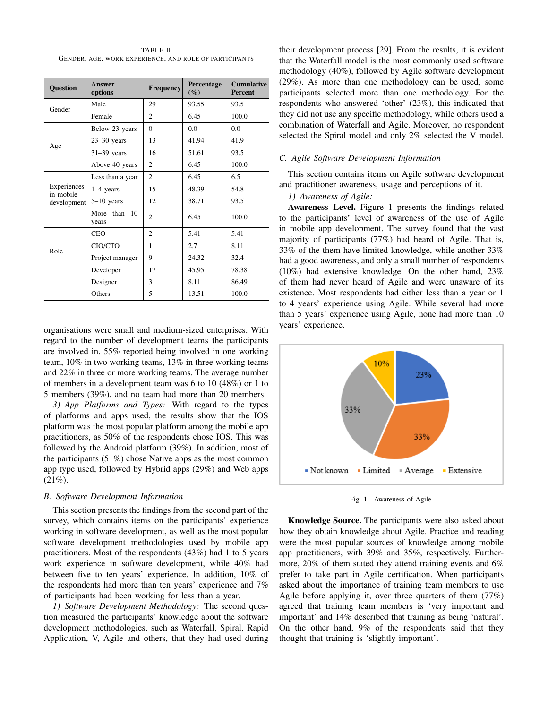TABLE II GENDER, AGE, WORK EXPERIENCE, AND ROLE OF PARTICIPANTS

| <b>Question</b>                         | <b>Answer</b><br>options | <b>Frequency</b> | Percentage<br>$(\%)$ | <b>Cumulative</b><br><b>Percent</b> |
|-----------------------------------------|--------------------------|------------------|----------------------|-------------------------------------|
| Gender                                  | Male                     | 29               | 93.55                | 93.5                                |
|                                         | Female                   | $\overline{c}$   | 6.45                 | 100.0                               |
| Age                                     | Below 23 years           | $\Omega$         | 0.0                  | 0.0                                 |
|                                         | $23-30$ years            | 13               | 41.94                | 41.9                                |
|                                         | $31-39$ years            | 16               | 51.61                | 93.5                                |
|                                         | Above 40 years           | $\overline{c}$   | 6.45                 | 100.0                               |
| Experiences<br>in mobile<br>development | Less than a year         | $\overline{c}$   | 6.45                 | 6.5                                 |
|                                         | $1-4$ years              | 15               | 48.39                | 54.8                                |
|                                         | $5-10$ years             | 12               | 38.71                | 93.5                                |
|                                         | More<br>than 10<br>years | $\overline{c}$   | 6.45                 | 100.0                               |
| Role                                    | <b>CEO</b>               | $\overline{c}$   | 5.41                 | 5.41                                |
|                                         | CIO/CTO                  | 1                | 2.7                  | 8.11                                |
|                                         | Project manager          | 9                | 24.32                | 32.4                                |
|                                         | Developer                | 17               | 45.95                | 78.38                               |
|                                         | Designer                 | 3                | 8.11                 | 86.49                               |
|                                         | Others                   | 5                | 13.51                | 100.0                               |

organisations were small and medium-sized enterprises. With regard to the number of development teams the participants are involved in, 55% reported being involved in one working team, 10% in two working teams, 13% in three working teams and 22% in three or more working teams. The average number of members in a development team was 6 to 10 (48%) or 1 to 5 members (39%), and no team had more than 20 members.

*3) App Platforms and Types:* With regard to the types of platforms and apps used, the results show that the IOS platform was the most popular platform among the mobile app practitioners, as 50% of the respondents chose IOS. This was followed by the Android platform (39%). In addition, most of the participants (51%) chose Native apps as the most common app type used, followed by Hybrid apps (29%) and Web apps  $(21\%)$ .

# *B. Software Development Information*

This section presents the findings from the second part of the survey, which contains items on the participants' experience working in software development, as well as the most popular software development methodologies used by mobile app practitioners. Most of the respondents (43%) had 1 to 5 years work experience in software development, while 40% had between five to ten years' experience. In addition, 10% of the respondents had more than ten years' experience and 7% of participants had been working for less than a year.

*1) Software Development Methodology:* The second question measured the participants' knowledge about the software development methodologies, such as Waterfall, Spiral, Rapid Application, V, Agile and others, that they had used during their development process [29]. From the results, it is evident that the Waterfall model is the most commonly used software methodology (40%), followed by Agile software development (29%). As more than one methodology can be used, some participants selected more than one methodology. For the respondents who answered 'other' (23%), this indicated that they did not use any specific methodology, while others used a combination of Waterfall and Agile. Moreover, no respondent selected the Spiral model and only 2% selected the V model.

# *C. Agile Software Development Information*

This section contains items on Agile software development and practitioner awareness, usage and perceptions of it.

# *1) Awareness of Agile:*

Awareness Level. Figure 1 presents the findings related to the participants' level of awareness of the use of Agile in mobile app development. The survey found that the vast majority of participants (77%) had heard of Agile. That is, 33% of the them have limited knowledge, while another 33% had a good awareness, and only a small number of respondents (10%) had extensive knowledge. On the other hand, 23% of them had never heard of Agile and were unaware of its existence. Most respondents had either less than a year or 1 to 4 years' experience using Agile. While several had more than 5 years' experience using Agile, none had more than 10 years' experience.



Fig. 1. Awareness of Agile.

Knowledge Source. The participants were also asked about how they obtain knowledge about Agile. Practice and reading were the most popular sources of knowledge among mobile app practitioners, with 39% and 35%, respectively. Furthermore, 20% of them stated they attend training events and 6% prefer to take part in Agile certification. When participants asked about the importance of training team members to use Agile before applying it, over three quarters of them (77%) agreed that training team members is 'very important and important' and 14% described that training as being 'natural'. On the other hand, 9% of the respondents said that they thought that training is 'slightly important'.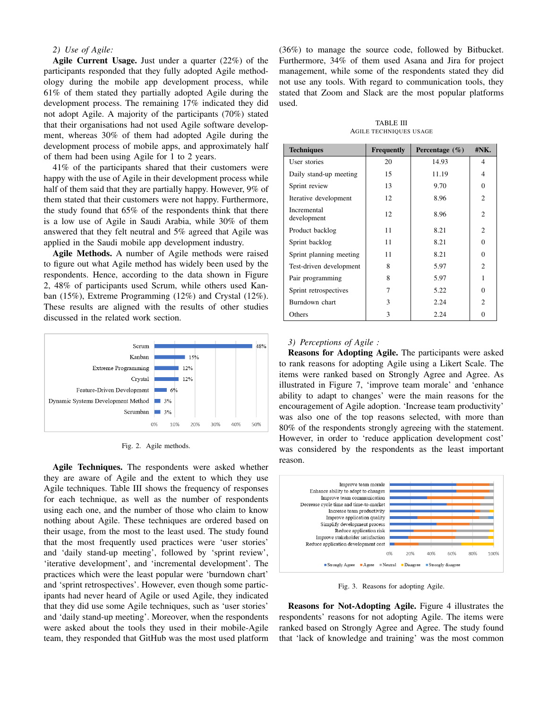# *2) Use of Agile:*

Agile Current Usage. Just under a quarter (22%) of the participants responded that they fully adopted Agile methodology during the mobile app development process, while 61% of them stated they partially adopted Agile during the development process. The remaining 17% indicated they did not adopt Agile. A majority of the participants (70%) stated that their organisations had not used Agile software development, whereas 30% of them had adopted Agile during the development process of mobile apps, and approximately half of them had been using Agile for 1 to 2 years.

41% of the participants shared that their customers were happy with the use of Agile in their development process while half of them said that they are partially happy. However, 9% of them stated that their customers were not happy. Furthermore, the study found that 65% of the respondents think that there is a low use of Agile in Saudi Arabia, while 30% of them answered that they felt neutral and 5% agreed that Agile was applied in the Saudi mobile app development industry.

Agile Methods. A number of Agile methods were raised to figure out what Agile method has widely been used by the respondents. Hence, according to the data shown in Figure 2, 48% of participants used Scrum, while others used Kanban (15%), Extreme Programming (12%) and Crystal (12%). These results are aligned with the results of other studies discussed in the related work section.



Fig. 2. Agile methods.

Agile Techniques. The respondents were asked whether they are aware of Agile and the extent to which they use Agile techniques. Table III shows the frequency of responses for each technique, as well as the number of respondents using each one, and the number of those who claim to know nothing about Agile. These techniques are ordered based on their usage, from the most to the least used. The study found that the most frequently used practices were 'user stories' and 'daily stand-up meeting', followed by 'sprint review', 'iterative development', and 'incremental development'. The practices which were the least popular were 'burndown chart' and 'sprint retrospectives'. However, even though some participants had never heard of Agile or used Agile, they indicated that they did use some Agile techniques, such as 'user stories' and 'daily stand-up meeting'. Moreover, when the respondents were asked about the tools they used in their mobile-Agile team, they responded that GitHub was the most used platform

(36%) to manage the source code, followed by Bitbucket. Furthermore, 34% of them used Asana and Jira for project management, while some of the respondents stated they did not use any tools. With regard to communication tools, they stated that Zoom and Slack are the most popular platforms used.

TABLE III AGILE TECHNIQUES USAGE

| <b>Techniques</b>          | Frequently | Percentage $(\% )$ | #NK.           |
|----------------------------|------------|--------------------|----------------|
| User stories               | 20         | 14.93              | 4              |
| Daily stand-up meeting     | 15         | 11.19              | 4              |
| Sprint review              | 13         | 9.70               | 0              |
| Iterative development      | 12         | 8.96               | $\overline{c}$ |
| Incremental<br>development | 12         | 8.96               | $\overline{c}$ |
| Product backlog            | 11         | 8.21               | $\mathfrak{D}$ |
| Sprint backlog             | 11         | 8.21               | 0              |
| Sprint planning meeting    | 11         | 8.21               | 0              |
| Test-driven development    | 8          | 5.97               | $\mathfrak{D}$ |
| Pair programming           | 8          | 5.97               |                |
| Sprint retrospectives      | 7          | 5.22               | 0              |
| Burndown chart             | 3          | 2.24               | $\overline{c}$ |
| Others                     | 3          | 2.24               | 0              |

#### *3) Perceptions of Agile :*

Reasons for Adopting Agile. The participants were asked to rank reasons for adopting Agile using a Likert Scale. The items were ranked based on Strongly Agree and Agree. As illustrated in Figure 7, 'improve team morale' and 'enhance ability to adapt to changes' were the main reasons for the encouragement of Agile adoption. 'Increase team productivity' was also one of the top reasons selected, with more than 80% of the respondents strongly agreeing with the statement. However, in order to 'reduce application development cost' was considered by the respondents as the least important reason.



Fig. 3. Reasons for adopting Agile.

Reasons for Not-Adopting Agile. Figure 4 illustrates the respondents' reasons for not adopting Agile. The items were ranked based on Strongly Agree and Agree. The study found that 'lack of knowledge and training' was the most common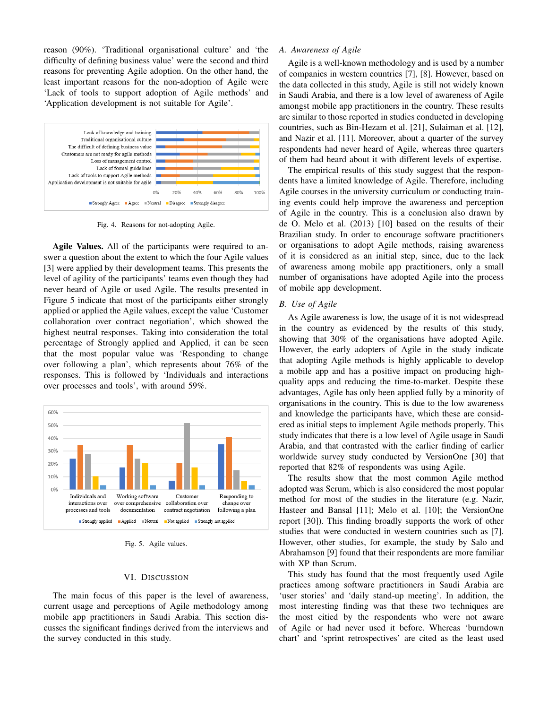reason (90%). 'Traditional organisational culture' and 'the difficulty of defining business value' were the second and third reasons for preventing Agile adoption. On the other hand, the least important reasons for the non-adoption of Agile were 'Lack of tools to support adoption of Agile methods' and 'Application development is not suitable for Agile'.



Fig. 4. Reasons for not-adopting Agile.

Agile Values. All of the participants were required to answer a question about the extent to which the four Agile values [3] were applied by their development teams. This presents the level of agility of the participants' teams even though they had never heard of Agile or used Agile. The results presented in Figure 5 indicate that most of the participants either strongly applied or applied the Agile values, except the value 'Customer collaboration over contract negotiation', which showed the highest neutral responses. Taking into consideration the total percentage of Strongly applied and Applied, it can be seen that the most popular value was 'Responding to change over following a plan', which represents about 76% of the responses. This is followed by 'Individuals and interactions over processes and tools', with around 59%.



Fig. 5. Agile values.

#### VI. DISCUSSION

The main focus of this paper is the level of awareness, current usage and perceptions of Agile methodology among mobile app practitioners in Saudi Arabia. This section discusses the significant findings derived from the interviews and the survey conducted in this study.

## *A. Awareness of Agile*

Agile is a well-known methodology and is used by a number of companies in western countries [7], [8]. However, based on the data collected in this study, Agile is still not widely known in Saudi Arabia, and there is a low level of awareness of Agile amongst mobile app practitioners in the country. These results are similar to those reported in studies conducted in developing countries, such as Bin-Hezam et al. [21], Sulaiman et al. [12], and Nazir et al. [11]. Moreover, about a quarter of the survey respondents had never heard of Agile, whereas three quarters of them had heard about it with different levels of expertise.

The empirical results of this study suggest that the respondents have a limited knowledge of Agile. Therefore, including Agile courses in the university curriculum or conducting training events could help improve the awareness and perception of Agile in the country. This is a conclusion also drawn by de O. Melo et al. (2013) [10] based on the results of their Brazilian study. In order to encourage software practitioners or organisations to adopt Agile methods, raising awareness of it is considered as an initial step, since, due to the lack of awareness among mobile app practitioners, only a small number of organisations have adopted Agile into the process of mobile app development.

#### *B. Use of Agile*

As Agile awareness is low, the usage of it is not widespread in the country as evidenced by the results of this study, showing that 30% of the organisations have adopted Agile. However, the early adopters of Agile in the study indicate that adopting Agile methods is highly applicable to develop a mobile app and has a positive impact on producing highquality apps and reducing the time-to-market. Despite these advantages, Agile has only been applied fully by a minority of organisations in the country. This is due to the low awareness and knowledge the participants have, which these are considered as initial steps to implement Agile methods properly. This study indicates that there is a low level of Agile usage in Saudi Arabia, and that contrasted with the earlier finding of earlier worldwide survey study conducted by VersionOne [30] that reported that 82% of respondents was using Agile.

The results show that the most common Agile method adopted was Scrum, which is also considered the most popular method for most of the studies in the literature (e.g. Nazir, Hasteer and Bansal [11]; Melo et al. [10]; the VersionOne report [30]). This finding broadly supports the work of other studies that were conducted in western countries such as [7]. However, other studies, for example, the study by Salo and Abrahamson [9] found that their respondents are more familiar with XP than Scrum.

This study has found that the most frequently used Agile practices among software practitioners in Saudi Arabia are 'user stories' and 'daily stand-up meeting'. In addition, the most interesting finding was that these two techniques are the most citied by the respondents who were not aware of Agile or had never used it before. Whereas 'burndown chart' and 'sprint retrospectives' are cited as the least used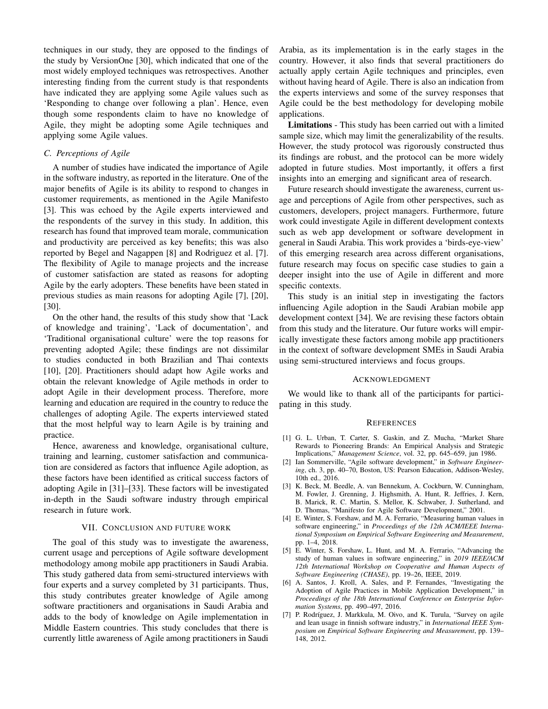techniques in our study, they are opposed to the findings of the study by VersionOne [30], which indicated that one of the most widely employed techniques was retrospectives. Another interesting finding from the current study is that respondents have indicated they are applying some Agile values such as 'Responding to change over following a plan'. Hence, even though some respondents claim to have no knowledge of Agile, they might be adopting some Agile techniques and applying some Agile values.

## *C. Perceptions of Agile*

A number of studies have indicated the importance of Agile in the software industry, as reported in the literature. One of the major benefits of Agile is its ability to respond to changes in customer requirements, as mentioned in the Agile Manifesto [3]. This was echoed by the Agile experts interviewed and the respondents of the survey in this study. In addition, this research has found that improved team morale, communication and productivity are perceived as key benefits; this was also reported by Begel and Nagappen [8] and Rodriguez et al. [7]. The flexibility of Agile to manage projects and the increase of customer satisfaction are stated as reasons for adopting Agile by the early adopters. These benefits have been stated in previous studies as main reasons for adopting Agile [7], [20], [30].

On the other hand, the results of this study show that 'Lack of knowledge and training', 'Lack of documentation', and 'Traditional organisational culture' were the top reasons for preventing adopted Agile; these findings are not dissimilar to studies conducted in both Brazilian and Thai contexts [10], [20]. Practitioners should adapt how Agile works and obtain the relevant knowledge of Agile methods in order to adopt Agile in their development process. Therefore, more learning and education are required in the country to reduce the challenges of adopting Agile. The experts interviewed stated that the most helpful way to learn Agile is by training and practice.

Hence, awareness and knowledge, organisational culture, training and learning, customer satisfaction and communication are considered as factors that influence Agile adoption, as these factors have been identified as critical success factors of adopting Agile in [31]–[33]. These factors will be investigated in-depth in the Saudi software industry through empirical research in future work.

#### VII. CONCLUSION AND FUTURE WORK

The goal of this study was to investigate the awareness, current usage and perceptions of Agile software development methodology among mobile app practitioners in Saudi Arabia. This study gathered data from semi-structured interviews with four experts and a survey completed by 31 participants. Thus, this study contributes greater knowledge of Agile among software practitioners and organisations in Saudi Arabia and adds to the body of knowledge on Agile implementation in Middle Eastern countries. This study concludes that there is currently little awareness of Agile among practitioners in Saudi Arabia, as its implementation is in the early stages in the country. However, it also finds that several practitioners do actually apply certain Agile techniques and principles, even without having heard of Agile. There is also an indication from the experts interviews and some of the survey responses that Agile could be the best methodology for developing mobile applications.

Limitations - This study has been carried out with a limited sample size, which may limit the generalizability of the results. However, the study protocol was rigorously constructed thus its findings are robust, and the protocol can be more widely adopted in future studies. Most importantly, it offers a first insights into an emerging and significant area of research.

Future research should investigate the awareness, current usage and perceptions of Agile from other perspectives, such as customers, developers, project managers. Furthermore, future work could investigate Agile in different development contexts such as web app development or software development in general in Saudi Arabia. This work provides a 'birds-eye-view' of this emerging research area across different organisations, future research may focus on specific case studies to gain a deeper insight into the use of Agile in different and more specific contexts.

This study is an initial step in investigating the factors influencing Agile adoption in the Saudi Arabian mobile app development context [34]. We are revising these factors obtain from this study and the literature. Our future works will empirically investigate these factors among mobile app practitioners in the context of software development SMEs in Saudi Arabia using semi-structured interviews and focus groups.

#### ACKNOWLEDGMENT

We would like to thank all of the participants for participating in this study.

#### **REFERENCES**

- [1] G. L. Urban, T. Carter, S. Gaskin, and Z. Mucha, "Market Share Rewards to Pioneering Brands: An Empirical Analysis and Strategic Implications," *Management Science*, vol. 32, pp. 645–659, jun 1986.
- [2] Ian Sommerville, "Agile software development," in *Software Engineering*, ch. 3, pp. 40–70, Boston, US: Pearson Education, Addison-Wesley, 10th ed., 2016.
- [3] K. Beck, M. Beedle, A. van Bennekum, A. Cockburn, W. Cunningham, M. Fowler, J. Grenning, J. Highsmith, A. Hunt, R. Jeffries, J. Kern, B. Marick, R. C. Martin, S. Mellor, K. Schwaber, J. Sutherland, and D. Thomas, "Manifesto for Agile Software Development," 2001.
- [4] E. Winter, S. Forshaw, and M. A. Ferrario, "Measuring human values in software engineering," in *Proceedings of the 12th ACM/IEEE International Symposium on Empirical Software Engineering and Measurement*, pp. 1–4, 2018.
- [5] E. Winter, S. Forshaw, L. Hunt, and M. A. Ferrario, "Advancing the study of human values in software engineering," in *2019 IEEE/ACM 12th International Workshop on Cooperative and Human Aspects of Software Engineering (CHASE)*, pp. 19–26, IEEE, 2019.
- [6] A. Santos, J. Kroll, A. Sales, and P. Fernandes, "Investigating the Adoption of Agile Practices in Mobile Application Development," in *Proceedings of the 18th International Conference on Enterprise Information Systems*, pp. 490–497, 2016.
- [7] P. Rodríguez, J. Markkula, M. Oivo, and K. Turula, "Survey on agile and lean usage in finnish software industry," in *International IEEE Symposium on Empirical Software Engineering and Measurement*, pp. 139– 148, 2012.